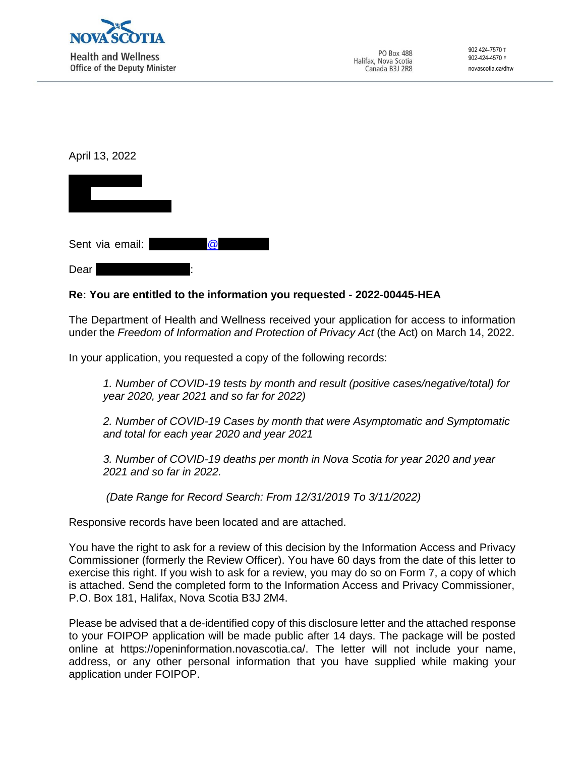

April 13, 2022



Dear

# **Re: You are entitled to the information you requested - 2022-00445-HEA**

The Department of Health and Wellness received your application for access to information under the *Freedom of Information and Protection of Privacy Act* (the Act) on March 14, 2022.

In your application, you requested a copy of the following records:

*1. Number of COVID-19 tests by month and result (positive cases/negative/total) for year 2020, year 2021 and so far for 2022)*

*2. Number of COVID-19 Cases by month that were Asymptomatic and Symptomatic and total for each year 2020 and year 2021*

*3. Number of COVID-19 deaths per month in Nova Scotia for year 2020 and year 2021 and so far in 2022.*

*(Date Range for Record Search: From 12/31/2019 To 3/11/2022)*

Responsive records have been located and are attached.

You have the right to ask for a review of this decision by the Information Access and Privacy Commissioner (formerly the Review Officer). You have 60 days from the date of this letter to exercise this right. If you wish to ask for a review, you may do so on Form 7, a copy of which is attached. Send the completed form to the Information Access and Privacy Commissioner, P.O. Box 181, Halifax, Nova Scotia B3J 2M4.

Please be advised that a de-identified copy of this disclosure letter and the attached response to your FOIPOP application will be made public after 14 days. The package will be posted online at https://openinformation.novascotia.ca/. The letter will not include your name, address, or any other personal information that you have supplied while making your application under FOIPOP.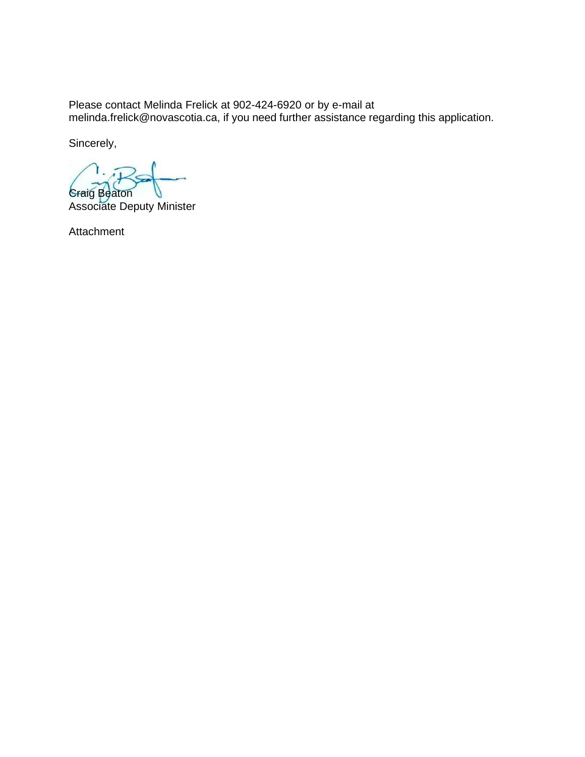Please contact Melinda Frelick at 902-424-6920 or by e-mail at [melinda.frelick@novascotia.ca,](mailto:melinda.frelick@novascotia.ca) if you need further assistance regarding this application.

Sincerely,

Craig Beaton

Associate Deputy Minister

Attachment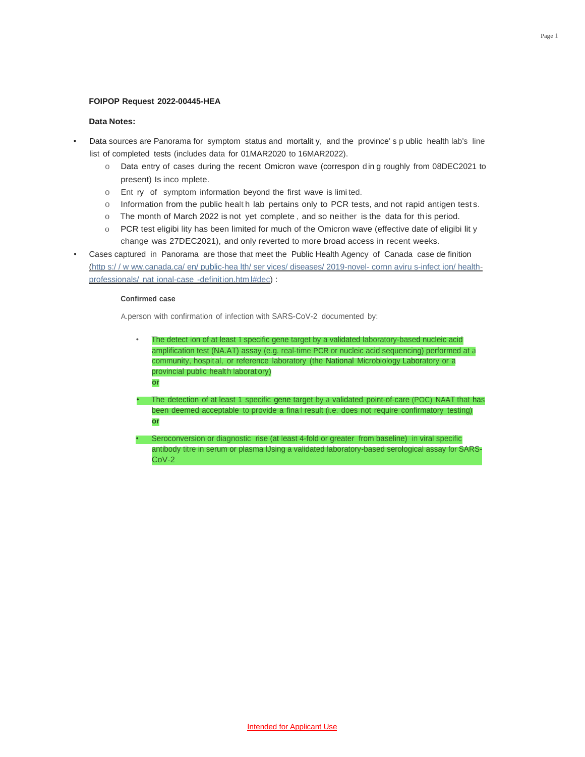#### **FOIPOP Request 2022-00445-HEA**

#### **Data Notes:**

- Data sources are Panorama for symptom status and mortalit y, and the province' s p ublic health lab's line list of completed tests (includes data for 01MAR2020 to 16MAR2022).
	- o Data entry of cases during the recent Omicron wave (correspon d in g roughly from 08DEC2021 to present) Is inco mplete.
	- o Ent ry of symptom information beyond the first wave is limi ted.
	- o Information from the public healt h lab pertains only to PCR tests, and not rapid antigen test s.
	- o The month of March 2022 is not yet complete , and so neither is the data for this period.
	- o PCR test eligibi lity has been limited for much of the Omicron wave (effective date of eligibi lit y change was 27DEC2021), and only reverted to more broad access in recent weeks.
- Cases captured in Panorama are those that meet the Public Health Agency of Canada case de finition (http s:/ / w ww.canada.ca/ [en/ public-hea lth/ ser vices/ diseases/ 2019-novel-](http://www.canada.ca/en/public-health/services/diseases/2019-novel-cornnavirus-infection/health) cornn aviru s-infect ion/ healthprofessionals/ nat ional-case -definition.htm l#dec) :

### **Confirmed case**

**or**

A.person with confirmation of infection with SARS-CoV-2 documented by:

- The detect ion of at least 1 specific gene target by a validated laboratory-based nucleic acid amplification test (NA.AT) assay (e.g. real-time PCR or nucleic acid sequencing) performed at a community, hospit al, or reference laboratory (the National Microbiology Laboratory or a provincial public health laborat ory)
- The detection of at least 1 specific gene target by a validated point-of-care (POC) NAAT that has been deemed acceptable to provide a fina l result (i.e. does not require confirmatory testing) **or**
- Seroconversion or diagnostic rise (at least 4-fold or greater from baseline) in viral specific antibody titre in serum or plasma lJsing a validated laboratory-based serological assay for SARS- $Cov-2$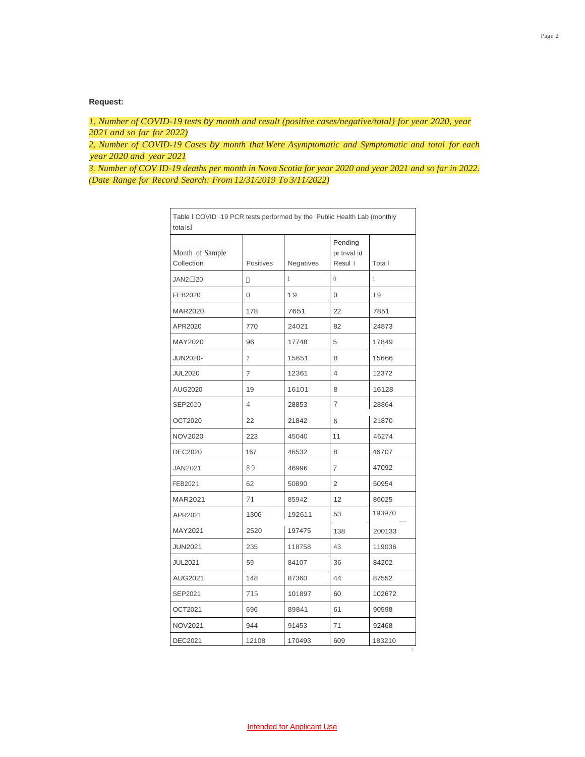## **Request:**

*1, Number of COVID-19 tests by month and result (positive cases/negative/total} for year 2020, year 2021 and so far for 2022)*

*2, Number of COVID-19 Cases by month that Were Asymptomatic and Symptomatic and total for each year 2020 and year 2021*

*3. Number of COV ID-19 deaths per month in Nova Scotia for year 2020 and year 2021 and so far in 2022. (Date Range for Record Search: From 12/31/2019 To 3/11/2022)*

| totalsI                       |                |           |                                   |        |
|-------------------------------|----------------|-----------|-----------------------------------|--------|
| Month of Sample<br>Collection | Positives      | Negatives | Pending<br>or Inval id<br>Resul t | Tota I |
| JAN2□20                       | п              | 1         | 0                                 | 1      |
| FEB2020                       | 0              | 1'9       | 0                                 | 1.9    |
| <b>MAR2020</b>                | 178            | 7651      | 22                                | 7851   |
| APR2020                       | 770            | 24021     | 82                                | 24873  |
| MAY2020                       | 96             | 17748     | 5                                 | 17849  |
| <b>JUN2020-</b>               | $\overline{7}$ | 15651     | 8                                 | 15666  |
| <b>JUL2020</b>                | $\overline{7}$ | 12361     | 4                                 | 12372  |
| AUG2020                       | 19             | 16101     | 8                                 | 16128  |
| SEP2020                       | 4              | 28853     | $\overline{7}$                    | 28864  |
| OCT2020                       | 22             | 21842     | 6                                 | 21870  |
| <b>NOV2020</b>                | 223            | 45040     | 11                                | 46274  |
| <b>DEC2020</b>                | 167            | 46532     | 8                                 | 46707  |
| <b>JAN2021</b>                | 89             | 46996     | 7                                 | 47092  |
| FEB2021                       | 62             | 50890     | 2                                 | 50954  |
| <b>MAR2021</b>                | 71             | 85942     | 12                                | 86025  |
| APR2021                       | 1306           | 192611    | 53                                | 193970 |
| MAY2021                       | 2520           | 197475    | 138                               | 200133 |
| <b>JUN2021</b>                | 235            | 118758    | 43                                | 119036 |
| <b>JUL2021</b>                | 59             | 84107     | 36                                | 84202  |
| AUG2021                       | 148            | 87360     | 44                                | 87552  |
| SEP2021                       | 715            | 101897    | 60                                | 102672 |
| OCT2021                       | 696            | 89841     | 61                                | 90598  |
| NOV2021                       | 944            | 91453     | 71                                | 92468  |
| <b>DEC2021</b>                | 12108          | 170493    | 609                               | 183210 |

Table l COVID -19 PCR tests performed by the Public Health Lab (monthly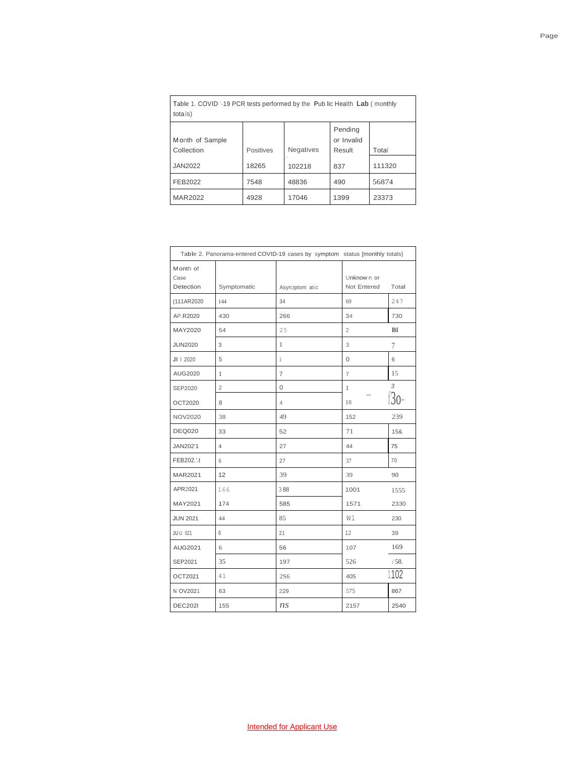| total(s)                      |           |                  |                                 |        |  |  |
|-------------------------------|-----------|------------------|---------------------------------|--------|--|--|
| Month of Sample<br>Collection | Positives | <b>Negatives</b> | Pending<br>or Invalid<br>Result | Total  |  |  |
| <b>JAN2022</b>                | 18265     | 102218           | 837                             | 111320 |  |  |
| FEB2022                       | 7548      | 48836            | 490                             | 56874  |  |  |
| <b>MAR2022</b>                | 4928      | 17046            | 1399                            | 23373  |  |  |

Table 1. COVID '-19 PCR tests performed by the Pub lic Health **Lab** ( monthly

|                               |             | Table 2. Panorama-entered COVID-19 cases by symptom status [monthly totals) |                           |           |
|-------------------------------|-------------|-----------------------------------------------------------------------------|---------------------------|-----------|
| Month of<br>Case<br>Detection | Symptomatic | Asyn;iptom atic                                                             | Unknown or<br>Not Entered | Total     |
| (111AR2020                    | 144         | 34                                                                          | 69                        | 247       |
| AP.R2020                      | 430         | 266                                                                         | 34                        | 730       |
| MAY2020                       | 54          | 25                                                                          | $\overline{2}$            | <b>BI</b> |
| <b>JUN2020</b>                | 3           | 1                                                                           | 3                         | 7         |
| JII   2020                    | 5           | 1                                                                           | $\Omega$                  | 6         |
| AUG2020                       | 1           | 7                                                                           | $\overline{7}$            | 15        |
| SEP2020                       | 2           | $\Omega$                                                                    | 1                         | 3         |
| OCT2020                       | 8           | $\overline{4}$                                                              | 18                        | $f30-$    |
| <b>NOV2020</b>                | 38          | 49                                                                          | 152                       | 239       |
| <b>DEQ020</b>                 | 33          | 52                                                                          | 71                        | 15&       |
| JAN202'1                      | 4           | 27                                                                          | 44                        | 75        |
| FEB202.'.t                    | 6           | 27                                                                          | 37                        | 70        |
| MAR2021                       | 12          | 39                                                                          | 39                        | 90        |
| APR2021                       | 166         | 388                                                                         | 1001                      | 1555      |
| MAY2021                       | 174         | 585                                                                         | 1571                      | 2330      |
| <b>JUN 2021</b>               | 44          | 85                                                                          | Wl                        | 230       |
| JUU 021                       | 6           | 21                                                                          | 12                        | 39        |
| AUG2021                       | 6           | 56                                                                          | 107                       | 169       |
| SEP2021                       | 35          | 197                                                                         | 526                       | /58.      |
| OCT2021                       | 41          | <b>2S6</b>                                                                  | 405                       | 1102      |
| N OV2021                      | 63          | 229                                                                         | 575                       | 867       |
| <b>DEC202I</b>                | 155         | ns                                                                          | 2157                      | 2540      |